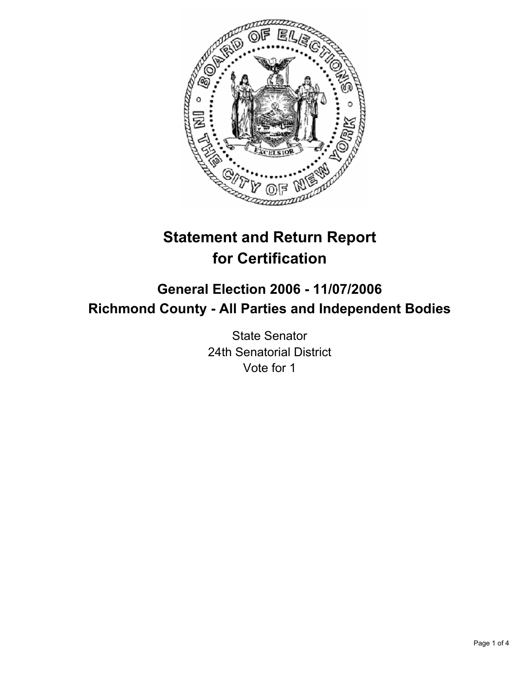

# **Statement and Return Report for Certification**

## **General Election 2006 - 11/07/2006 Richmond County - All Parties and Independent Bodies**

State Senator 24th Senatorial District Vote for 1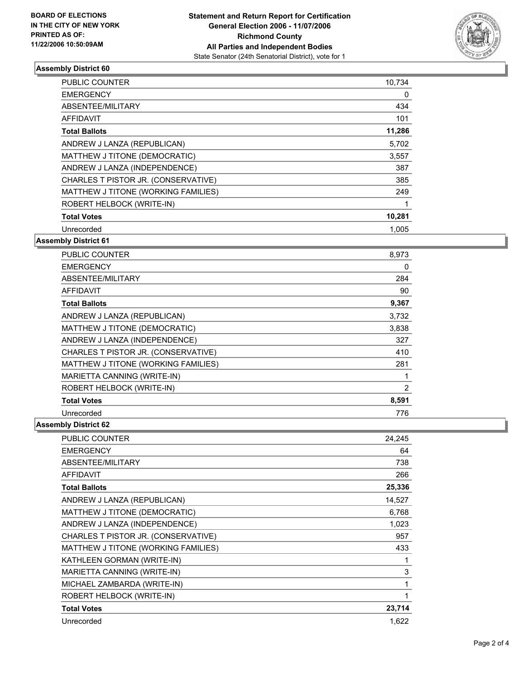

### **Assembly District 60**

| <b>PUBLIC COUNTER</b>               | 10,734 |  |
|-------------------------------------|--------|--|
| <b>EMERGENCY</b>                    | 0      |  |
| ABSENTEE/MILITARY                   | 434    |  |
| <b>AFFIDAVIT</b>                    | 101    |  |
| <b>Total Ballots</b>                | 11,286 |  |
| ANDREW J LANZA (REPUBLICAN)         | 5,702  |  |
| MATTHEW J TITONE (DEMOCRATIC)       | 3,557  |  |
| ANDREW J LANZA (INDEPENDENCE)       | 387    |  |
| CHARLES T PISTOR JR. (CONSERVATIVE) | 385    |  |
| MATTHEW J TITONE (WORKING FAMILIES) | 249    |  |
| ROBERT HELBOCK (WRITE-IN)           |        |  |
| <b>Total Votes</b>                  | 10,281 |  |
| Unrecorded                          | 1.005  |  |

#### **Assembly District 61**

| <b>PUBLIC COUNTER</b>               | 8,973 |
|-------------------------------------|-------|
| <b>EMERGENCY</b>                    | 0     |
| ABSENTEE/MILITARY                   | 284   |
| <b>AFFIDAVIT</b>                    | 90    |
| <b>Total Ballots</b>                | 9,367 |
| ANDREW J LANZA (REPUBLICAN)         | 3,732 |
| MATTHEW J TITONE (DEMOCRATIC)       | 3,838 |
| ANDREW J LANZA (INDEPENDENCE)       | 327   |
| CHARLES T PISTOR JR. (CONSERVATIVE) | 410   |
| MATTHEW J TITONE (WORKING FAMILIES) | 281   |
| MARIETTA CANNING (WRITE-IN)         |       |
| ROBERT HELBOCK (WRITE-IN)           | 2     |
| <b>Total Votes</b>                  | 8,591 |
| Unrecorded                          | 776   |

#### **Assembly District 62**

| PUBLIC COUNTER                      | 24,245 |
|-------------------------------------|--------|
| <b>EMERGENCY</b>                    | 64     |
| ABSENTEE/MILITARY                   | 738    |
| <b>AFFIDAVIT</b>                    | 266    |
| <b>Total Ballots</b>                | 25,336 |
| ANDREW J LANZA (REPUBLICAN)         | 14,527 |
| MATTHEW J TITONE (DEMOCRATIC)       | 6,768  |
| ANDREW J LANZA (INDEPENDENCE)       | 1,023  |
| CHARLES T PISTOR JR. (CONSERVATIVE) | 957    |
| MATTHEW J TITONE (WORKING FAMILIES) | 433    |
| KATHLEEN GORMAN (WRITE-IN)          |        |
| MARIETTA CANNING (WRITE-IN)         | 3      |
| MICHAEL ZAMBARDA (WRITE-IN)         |        |
| ROBERT HELBOCK (WRITE-IN)           |        |
| <b>Total Votes</b>                  | 23,714 |
| Unrecorded                          | 1,622  |
|                                     |        |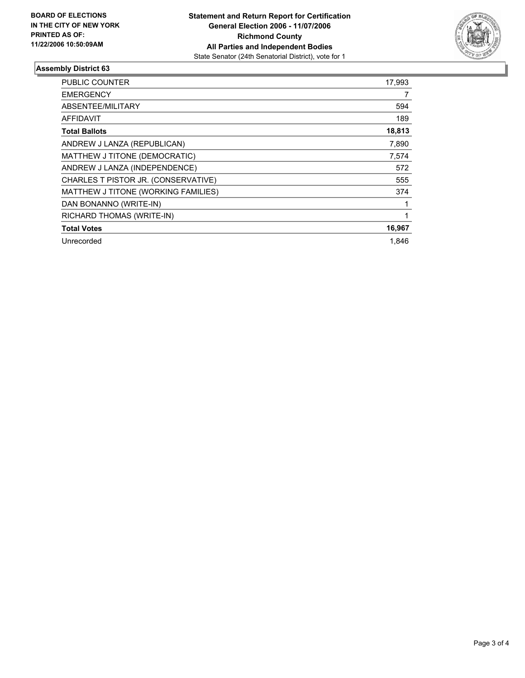

#### **Assembly District 63**

| PUBLIC COUNTER                      | 17,993 |
|-------------------------------------|--------|
| <b>EMERGENCY</b>                    |        |
| ABSENTEE/MILITARY                   | 594    |
| AFFIDAVIT                           | 189    |
| <b>Total Ballots</b>                | 18,813 |
| ANDREW J LANZA (REPUBLICAN)         | 7,890  |
| MATTHEW J TITONE (DEMOCRATIC)       | 7,574  |
| ANDREW J LANZA (INDEPENDENCE)       | 572    |
| CHARLES T PISTOR JR. (CONSERVATIVE) | 555    |
| MATTHEW J TITONE (WORKING FAMILIES) | 374    |
| DAN BONANNO (WRITE-IN)              |        |
| RICHARD THOMAS (WRITE-IN)           |        |
| <b>Total Votes</b>                  | 16,967 |
| Unrecorded                          | 1.846  |